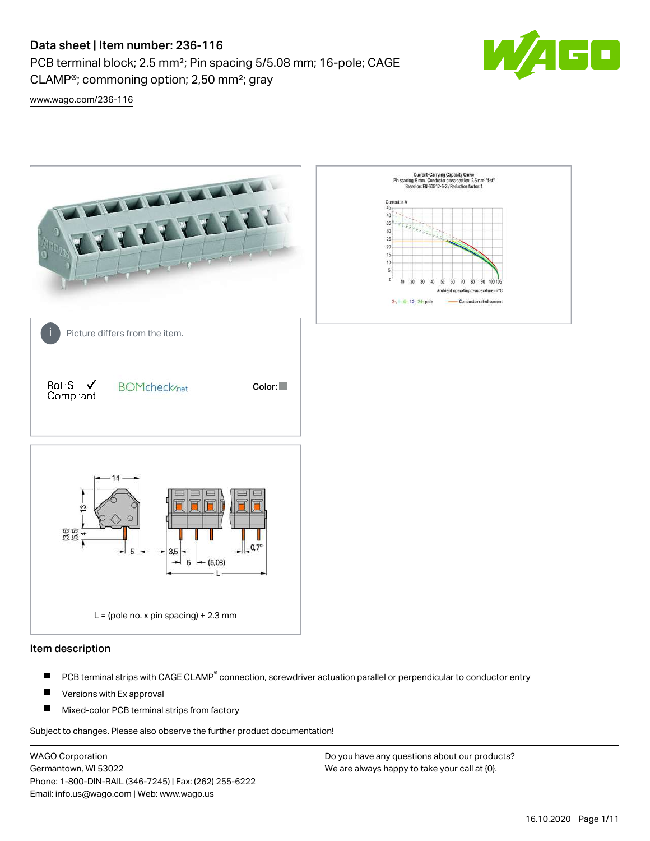PCB terminal block; 2.5 mm²; Pin spacing 5/5.08 mm; 16-pole; CAGE



 $\blacksquare$ 

[www.wago.com/236-116](http://www.wago.com/236-116)



### Item description

- PCB terminal strips with CAGE CLAMP<sup>®</sup> connection, screwdriver actuation parallel or perpendicular to conductor entry П
- П Versions with Ex approval
- П Mixed-color PCB terminal strips from factory

Subject to changes. Please also observe the further product documentation!

WAGO Corporation Germantown, WI 53022 Phone: 1-800-DIN-RAIL (346-7245) | Fax: (262) 255-6222 Email: info.us@wago.com | Web: www.wago.us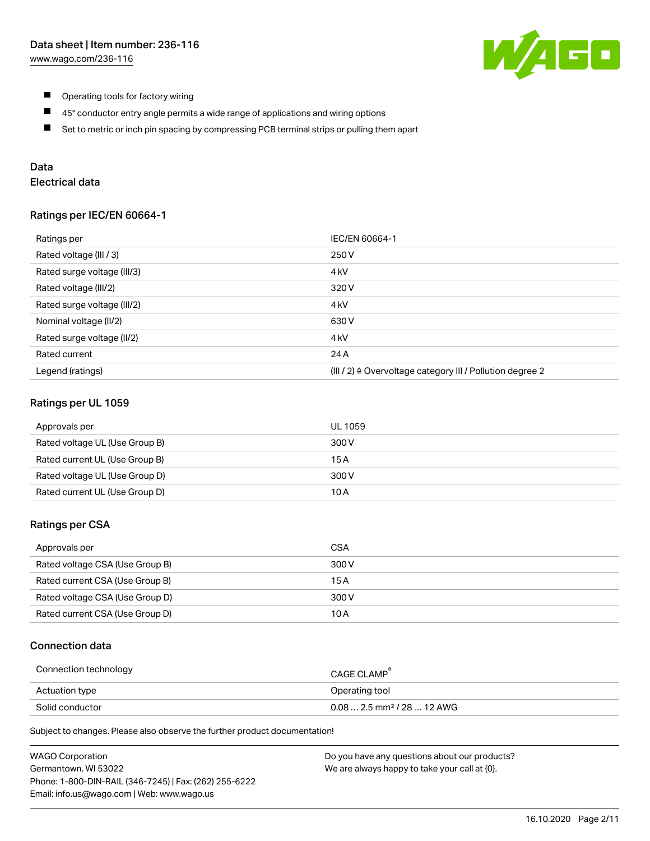

- $\blacksquare$ Operating tools for factory wiring
- $\blacksquare$ 45° conductor entry angle permits a wide range of applications and wiring options
- $\blacksquare$ Set to metric or inch pin spacing by compressing PCB terminal strips or pulling them apart

# Data

# Electrical data

## Ratings per IEC/EN 60664-1

| Ratings per                 | IEC/EN 60664-1                                                        |
|-----------------------------|-----------------------------------------------------------------------|
| Rated voltage (III / 3)     | 250 V                                                                 |
| Rated surge voltage (III/3) | 4 <sub>k</sub> V                                                      |
| Rated voltage (III/2)       | 320 V                                                                 |
| Rated surge voltage (III/2) | 4 <sub>kV</sub>                                                       |
| Nominal voltage (II/2)      | 630 V                                                                 |
| Rated surge voltage (II/2)  | 4 <sub>k</sub> V                                                      |
| Rated current               | 24 A                                                                  |
| Legend (ratings)            | $(III / 2)$ $\triangle$ Overvoltage category III / Pollution degree 2 |

## Ratings per UL 1059

| Approvals per                  | UL 1059 |
|--------------------------------|---------|
| Rated voltage UL (Use Group B) | 300 V   |
| Rated current UL (Use Group B) | 15 A    |
| Rated voltage UL (Use Group D) | 300 V   |
| Rated current UL (Use Group D) | 10 A    |

## Ratings per CSA

| Approvals per                   | CSA   |
|---------------------------------|-------|
| Rated voltage CSA (Use Group B) | 300 V |
| Rated current CSA (Use Group B) | 15 A  |
| Rated voltage CSA (Use Group D) | 300 V |
| Rated current CSA (Use Group D) | 10 A  |

## Connection data

| Connection technology | <b>CAGE CLAMP</b>                       |
|-----------------------|-----------------------------------------|
| Actuation type        | Operating tool                          |
| Solid conductor       | $0.08$ 2.5 mm <sup>2</sup> / 28  12 AWG |

Subject to changes. Please also observe the further product documentation!

| <b>WAGO Corporation</b>                                | Do you have any questions about our products? |
|--------------------------------------------------------|-----------------------------------------------|
| Germantown, WI 53022                                   | We are always happy to take your call at {0}. |
| Phone: 1-800-DIN-RAIL (346-7245)   Fax: (262) 255-6222 |                                               |
| Email: info.us@wago.com   Web: www.wago.us             |                                               |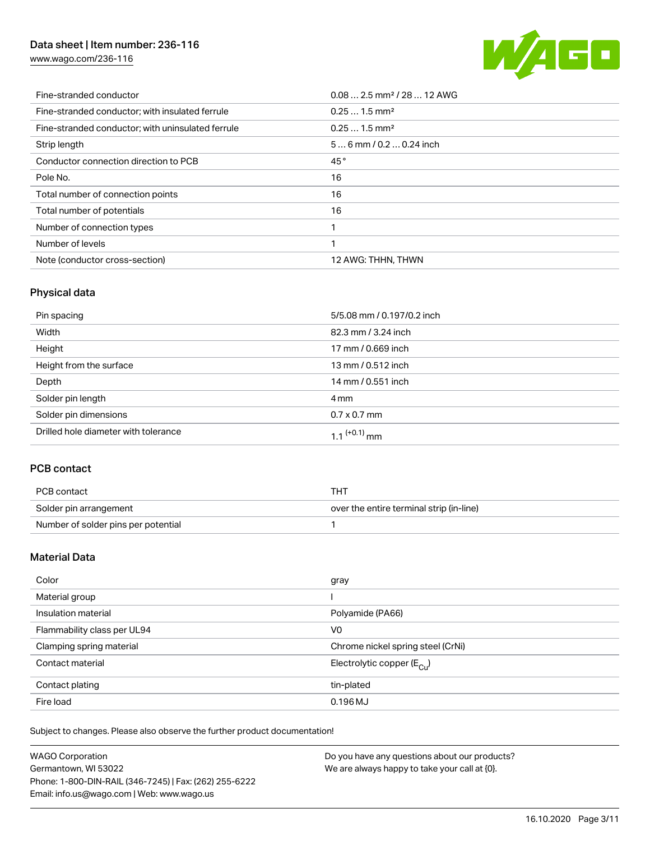[www.wago.com/236-116](http://www.wago.com/236-116)



| Fine-stranded conductor                           | $0.08$ 2.5 mm <sup>2</sup> / 28  12 AWG |
|---------------------------------------------------|-----------------------------------------|
| Fine-stranded conductor; with insulated ferrule   | $0.251.5$ mm <sup>2</sup>               |
| Fine-stranded conductor; with uninsulated ferrule | $0.251.5$ mm <sup>2</sup>               |
| Strip length                                      | $56$ mm $/ 0.20.24$ inch                |
| Conductor connection direction to PCB             | 45°                                     |
| Pole No.                                          | 16                                      |
| Total number of connection points                 | 16                                      |
| Total number of potentials                        | 16                                      |
| Number of connection types                        |                                         |
| Number of levels                                  | 1                                       |
| Note (conductor cross-section)                    | 12 AWG: THHN, THWN                      |

# Physical data

| Pin spacing                          | 5/5.08 mm / 0.197/0.2 inch |
|--------------------------------------|----------------------------|
| Width                                | 82.3 mm / 3.24 inch        |
| Height                               | 17 mm / 0.669 inch         |
| Height from the surface              | 13 mm / 0.512 inch         |
| Depth                                | 14 mm / 0.551 inch         |
| Solder pin length                    | 4 mm                       |
| Solder pin dimensions                | $0.7 \times 0.7$ mm        |
| Drilled hole diameter with tolerance | 1.1 $(+0.1)$ mm            |

# PCB contact

| PCB contact                         | тнт                                      |
|-------------------------------------|------------------------------------------|
| Solder pin arrangement              | over the entire terminal strip (in-line) |
| Number of solder pins per potential |                                          |

# Material Data

| Color                       | gray                                    |
|-----------------------------|-----------------------------------------|
| Material group              |                                         |
| Insulation material         | Polyamide (PA66)                        |
| Flammability class per UL94 | V <sub>0</sub>                          |
| Clamping spring material    | Chrome nickel spring steel (CrNi)       |
| Contact material            | Electrolytic copper ( $E_{\text{Cu}}$ ) |
| Contact plating             | tin-plated                              |
| Fire load                   | $0.196$ MJ                              |

Subject to changes. Please also observe the further product documentation!

| <b>WAGO Corporation</b>                                | Do you have any questions about our products? |
|--------------------------------------------------------|-----------------------------------------------|
| Germantown, WI 53022                                   | We are always happy to take your call at {0}. |
| Phone: 1-800-DIN-RAIL (346-7245)   Fax: (262) 255-6222 |                                               |
| Email: info.us@wago.com   Web: www.wago.us             |                                               |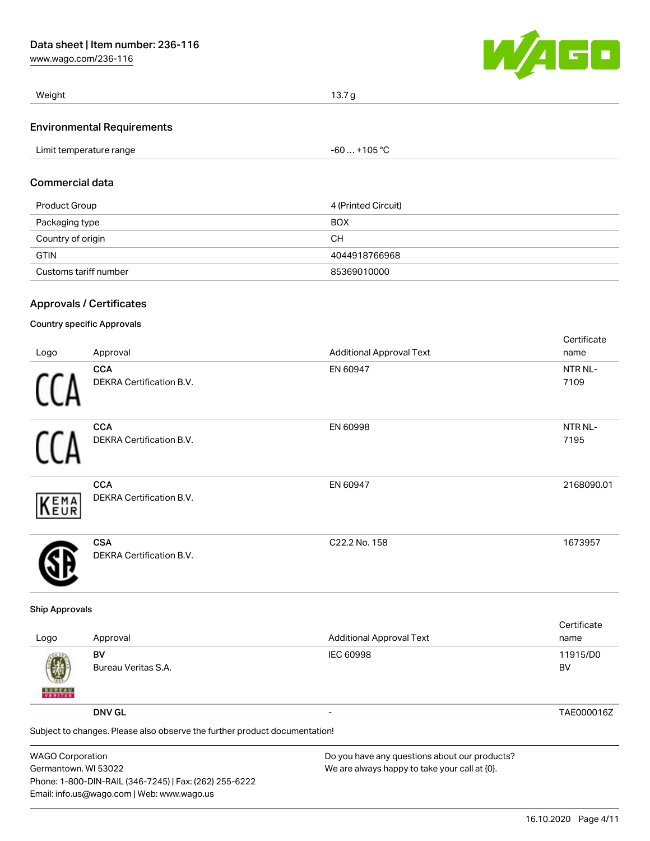[www.wago.com/236-116](http://www.wago.com/236-116)



| Weight                            | 13.7 g       |  |
|-----------------------------------|--------------|--|
| <b>Environmental Requirements</b> |              |  |
| Limit temperature range           | $-60+105 °C$ |  |
|                                   |              |  |

# Commercial data

| Product Group         | 4 (Printed Circuit) |
|-----------------------|---------------------|
| Packaging type        | <b>BOX</b>          |
| Country of origin     | CН                  |
| <b>GTIN</b>           | 4044918766968       |
| Customs tariff number | 85369010000         |

## Approvals / Certificates

## Country specific Approvals

|            |                                 |                                 | Certificate |
|------------|---------------------------------|---------------------------------|-------------|
| Logo       | Approval                        | <b>Additional Approval Text</b> | name        |
|            | <b>CCA</b>                      | EN 60947                        | NTR NL-     |
|            | DEKRA Certification B.V.        |                                 | 7109        |
|            | <b>CCA</b>                      | EN 60998                        | NTR NL-     |
|            | <b>DEKRA Certification B.V.</b> |                                 | 7195        |
|            | <b>CCA</b>                      | EN 60947                        | 2168090.01  |
| <b>EMA</b> | <b>DEKRA Certification B.V.</b> |                                 |             |
|            | <b>CSA</b>                      | C22.2 No. 158                   | 1673957     |
|            | <b>DEKRA Certification B.V.</b> |                                 |             |

#### Ship Approvals

| Logo                                                                       | Approval                  | <b>Additional Approval Text</b> | Certificate<br>name |  |
|----------------------------------------------------------------------------|---------------------------|---------------------------------|---------------------|--|
| 鄭<br><b>BUREAU</b>                                                         | BV<br>Bureau Veritas S.A. | <b>IEC 60998</b>                | 11915/D0<br>BV      |  |
|                                                                            | <b>DNV GL</b>             |                                 | TAE000016Z          |  |
| Subject to changes. Please also observe the further product documentation! |                           |                                 |                     |  |
|                                                                            |                           |                                 |                     |  |

| <b>WAGO Corporation</b>                                |
|--------------------------------------------------------|
| Germantown, WI 53022                                   |
| Phone: 1-800-DIN-RAIL (346-7245)   Fax: (262) 255-6222 |
| Email: info.us@wago.com   Web: www.wago.us             |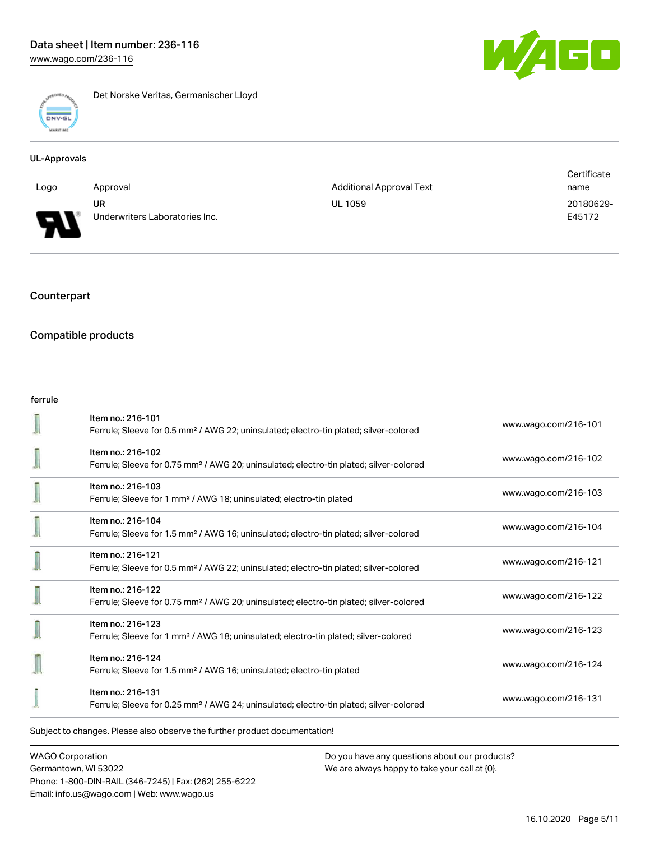

Det Norske Veritas, Germanischer Lloyd

#### UL-Approvals

|      |                                |                                 | Certificate |
|------|--------------------------------|---------------------------------|-------------|
| Logo | Approval                       | <b>Additional Approval Text</b> | name        |
|      | UR                             | <b>UL 1059</b>                  | 20180629-   |
| L    | Underwriters Laboratories Inc. |                                 | E45172      |

# Counterpart

## Compatible products

#### ferrule

|                                                                            | Item no.: 216-101<br>Ferrule; Sleeve for 0.5 mm <sup>2</sup> / AWG 22; uninsulated; electro-tin plated; silver-colored  | www.wago.com/216-101 |  |
|----------------------------------------------------------------------------|-------------------------------------------------------------------------------------------------------------------------|----------------------|--|
|                                                                            | Item no.: 216-102<br>Ferrule; Sleeve for 0.75 mm <sup>2</sup> / AWG 20; uninsulated; electro-tin plated; silver-colored | www.wago.com/216-102 |  |
|                                                                            | Item no.: 216-103<br>Ferrule; Sleeve for 1 mm <sup>2</sup> / AWG 18; uninsulated; electro-tin plated                    | www.wago.com/216-103 |  |
|                                                                            | Item no.: 216-104<br>Ferrule; Sleeve for 1.5 mm <sup>2</sup> / AWG 16; uninsulated; electro-tin plated; silver-colored  | www.wago.com/216-104 |  |
|                                                                            | Item no.: 216-121<br>Ferrule; Sleeve for 0.5 mm <sup>2</sup> / AWG 22; uninsulated; electro-tin plated; silver-colored  | www.wago.com/216-121 |  |
|                                                                            | Item no.: 216-122<br>Ferrule; Sleeve for 0.75 mm <sup>2</sup> / AWG 20; uninsulated; electro-tin plated; silver-colored | www.wago.com/216-122 |  |
|                                                                            | Item no.: 216-123<br>Ferrule; Sleeve for 1 mm <sup>2</sup> / AWG 18; uninsulated; electro-tin plated; silver-colored    | www.wago.com/216-123 |  |
|                                                                            | Item no.: 216-124<br>Ferrule; Sleeve for 1.5 mm <sup>2</sup> / AWG 16; uninsulated; electro-tin plated                  | www.wago.com/216-124 |  |
|                                                                            | Item no.: 216-131<br>Ferrule; Sleeve for 0.25 mm <sup>2</sup> / AWG 24; uninsulated; electro-tin plated; silver-colored | www.wago.com/216-131 |  |
| Subject to changes. Please also observe the further product documentation! |                                                                                                                         |                      |  |

WAGO Corporation Germantown, WI 53022 Phone: 1-800-DIN-RAIL (346-7245) | Fax: (262) 255-6222 Email: info.us@wago.com | Web: www.wago.us

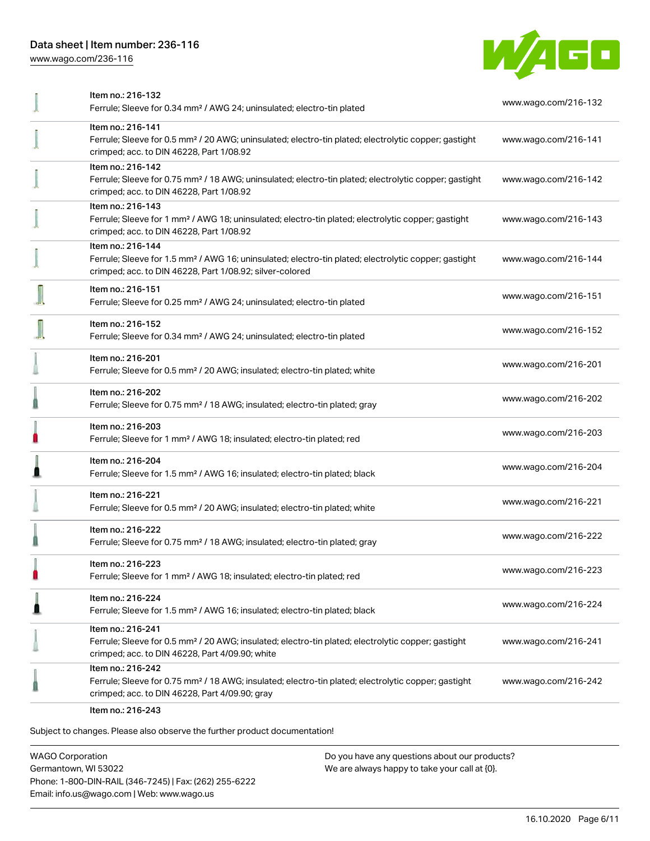[www.wago.com/236-116](http://www.wago.com/236-116)



| Item no.: 216-132<br>Ferrule; Sleeve for 0.34 mm <sup>2</sup> / AWG 24; uninsulated; electro-tin plated                                                                                           | www.wago.com/216-132 |
|---------------------------------------------------------------------------------------------------------------------------------------------------------------------------------------------------|----------------------|
| Item no.: 216-141<br>Ferrule; Sleeve for 0.5 mm <sup>2</sup> / 20 AWG; uninsulated; electro-tin plated; electrolytic copper; gastight<br>crimped; acc. to DIN 46228, Part 1/08.92                 | www.wago.com/216-141 |
| Item no.: 216-142<br>Ferrule; Sleeve for 0.75 mm <sup>2</sup> / 18 AWG; uninsulated; electro-tin plated; electrolytic copper; gastight<br>crimped; acc. to DIN 46228, Part 1/08.92                | www.wago.com/216-142 |
| Item no.: 216-143<br>Ferrule; Sleeve for 1 mm <sup>2</sup> / AWG 18; uninsulated; electro-tin plated; electrolytic copper; gastight<br>crimped; acc. to DIN 46228, Part 1/08.92                   | www.wago.com/216-143 |
| Item no.: 216-144<br>Ferrule; Sleeve for 1.5 mm <sup>2</sup> / AWG 16; uninsulated; electro-tin plated; electrolytic copper; gastight<br>crimped; acc. to DIN 46228, Part 1/08.92; silver-colored | www.wago.com/216-144 |
| Item no.: 216-151<br>Ferrule; Sleeve for 0.25 mm <sup>2</sup> / AWG 24; uninsulated; electro-tin plated                                                                                           | www.wago.com/216-151 |
| Item no.: 216-152<br>Ferrule; Sleeve for 0.34 mm <sup>2</sup> / AWG 24; uninsulated; electro-tin plated                                                                                           | www.wago.com/216-152 |
| Item no.: 216-201<br>Ferrule; Sleeve for 0.5 mm <sup>2</sup> / 20 AWG; insulated; electro-tin plated; white                                                                                       | www.wago.com/216-201 |
| Item no.: 216-202<br>Ferrule; Sleeve for 0.75 mm <sup>2</sup> / 18 AWG; insulated; electro-tin plated; gray                                                                                       | www.wago.com/216-202 |
| Item no.: 216-203<br>Ferrule; Sleeve for 1 mm <sup>2</sup> / AWG 18; insulated; electro-tin plated; red                                                                                           | www.wago.com/216-203 |
| Item no.: 216-204<br>Ferrule; Sleeve for 1.5 mm <sup>2</sup> / AWG 16; insulated; electro-tin plated; black                                                                                       | www.wago.com/216-204 |
| Item no.: 216-221<br>Ferrule; Sleeve for 0.5 mm <sup>2</sup> / 20 AWG; insulated; electro-tin plated; white                                                                                       | www.wago.com/216-221 |
| Item no.: 216-222<br>Ferrule; Sleeve for 0.75 mm <sup>2</sup> / 18 AWG; insulated; electro-tin plated; gray                                                                                       | www.wago.com/216-222 |
| Item no.: 216-223<br>Ferrule; Sleeve for 1 mm <sup>2</sup> / AWG 18; insulated; electro-tin plated; red                                                                                           | www.wago.com/216-223 |
| Item no.: 216-224<br>Ferrule; Sleeve for 1.5 mm <sup>2</sup> / AWG 16; insulated; electro-tin plated; black                                                                                       | www.wago.com/216-224 |
| Item no.: 216-241<br>Ferrule; Sleeve for 0.5 mm <sup>2</sup> / 20 AWG; insulated; electro-tin plated; electrolytic copper; gastight<br>crimped; acc. to DIN 46228, Part 4/09.90; white            | www.wago.com/216-241 |
| Item no.: 216-242<br>Ferrule; Sleeve for 0.75 mm <sup>2</sup> / 18 AWG; insulated; electro-tin plated; electrolytic copper; gastight<br>crimped; acc. to DIN 46228, Part 4/09.90; gray            | www.wago.com/216-242 |
| Item no.: 216-243                                                                                                                                                                                 |                      |

Subject to changes. Please also observe the further product documentation!

WAGO Corporation Germantown, WI 53022 Phone: 1-800-DIN-RAIL (346-7245) | Fax: (262) 255-6222 Email: info.us@wago.com | Web: www.wago.us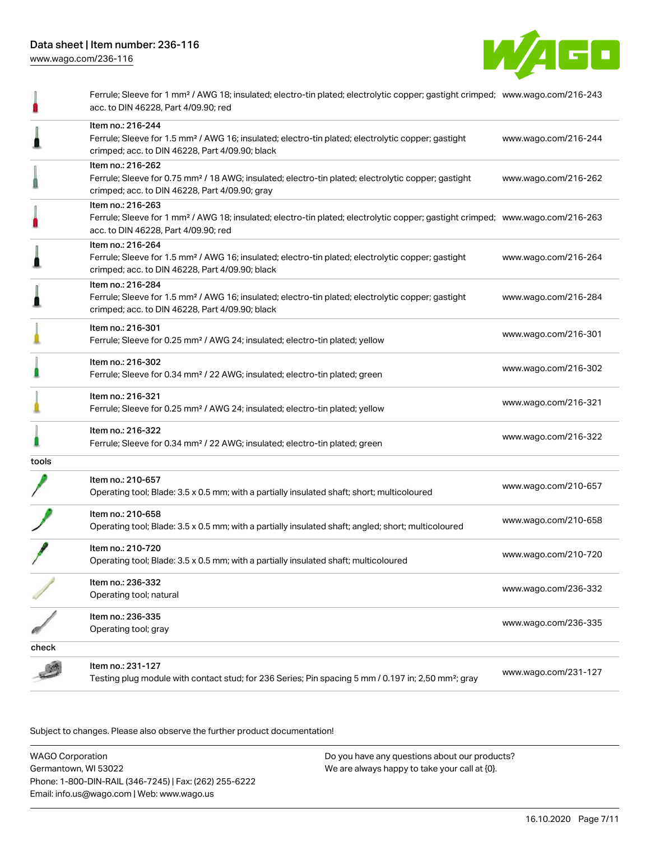

|       | Ferrule; Sleeve for 1 mm <sup>2</sup> / AWG 18; insulated; electro-tin plated; electrolytic copper; gastight crimped; www.wago.com/216-243<br>acc. to DIN 46228, Part 4/09.90; red                      |                      |
|-------|---------------------------------------------------------------------------------------------------------------------------------------------------------------------------------------------------------|----------------------|
|       | Item no.: 216-244<br>Ferrule; Sleeve for 1.5 mm <sup>2</sup> / AWG 16; insulated; electro-tin plated; electrolytic copper; gastight<br>crimped; acc. to DIN 46228, Part 4/09.90; black                  | www.wago.com/216-244 |
|       | Item no.: 216-262<br>Ferrule; Sleeve for 0.75 mm <sup>2</sup> / 18 AWG; insulated; electro-tin plated; electrolytic copper; gastight<br>crimped; acc. to DIN 46228, Part 4/09.90; gray                  | www.wago.com/216-262 |
|       | Item no.: 216-263<br>Ferrule; Sleeve for 1 mm <sup>2</sup> / AWG 18; insulated; electro-tin plated; electrolytic copper; gastight crimped; www.wago.com/216-263<br>acc. to DIN 46228, Part 4/09.90; red |                      |
|       | Item no.: 216-264<br>Ferrule; Sleeve for 1.5 mm <sup>2</sup> / AWG 16; insulated; electro-tin plated; electrolytic copper; gastight<br>crimped; acc. to DIN 46228, Part 4/09.90; black                  | www.wago.com/216-264 |
|       | Item no.: 216-284<br>Ferrule; Sleeve for 1.5 mm <sup>2</sup> / AWG 16; insulated; electro-tin plated; electrolytic copper; gastight<br>crimped; acc. to DIN 46228, Part 4/09.90; black                  | www.wago.com/216-284 |
|       | Item no.: 216-301<br>Ferrule; Sleeve for 0.25 mm <sup>2</sup> / AWG 24; insulated; electro-tin plated; yellow                                                                                           | www.wago.com/216-301 |
|       | Item no.: 216-302<br>Ferrule; Sleeve for 0.34 mm <sup>2</sup> / 22 AWG; insulated; electro-tin plated; green                                                                                            | www.wago.com/216-302 |
|       | Item no.: 216-321<br>Ferrule; Sleeve for 0.25 mm <sup>2</sup> / AWG 24; insulated; electro-tin plated; yellow                                                                                           | www.wago.com/216-321 |
|       | Item no.: 216-322<br>Ferrule; Sleeve for 0.34 mm <sup>2</sup> / 22 AWG; insulated; electro-tin plated; green                                                                                            | www.wago.com/216-322 |
| tools |                                                                                                                                                                                                         |                      |
|       | Item no.: 210-657<br>Operating tool; Blade: 3.5 x 0.5 mm; with a partially insulated shaft; short; multicoloured                                                                                        | www.wago.com/210-657 |
|       | Item no.: 210-658<br>Operating tool; Blade: 3.5 x 0.5 mm; with a partially insulated shaft; angled; short; multicoloured                                                                                | www.wago.com/210-658 |
|       | Item no.: 210-720<br>Operating tool; Blade: 3.5 x 0.5 mm; with a partially insulated shaft; multicoloured                                                                                               | www.wago.com/210-720 |
|       | Item no.: 236-332<br>Operating tool; natural                                                                                                                                                            | www.wago.com/236-332 |
|       | Item no.: 236-335<br>Operating tool; gray                                                                                                                                                               | www.wago.com/236-335 |
| check |                                                                                                                                                                                                         |                      |
|       | Item no.: 231-127<br>Testing plug module with contact stud; for 236 Series; Pin spacing 5 mm / 0.197 in; 2,50 mm <sup>2</sup> ; gray                                                                    | www.wago.com/231-127 |

Subject to changes. Please also observe the further product documentation!

WAGO Corporation Germantown, WI 53022 Phone: 1-800-DIN-RAIL (346-7245) | Fax: (262) 255-6222 Email: info.us@wago.com | Web: www.wago.us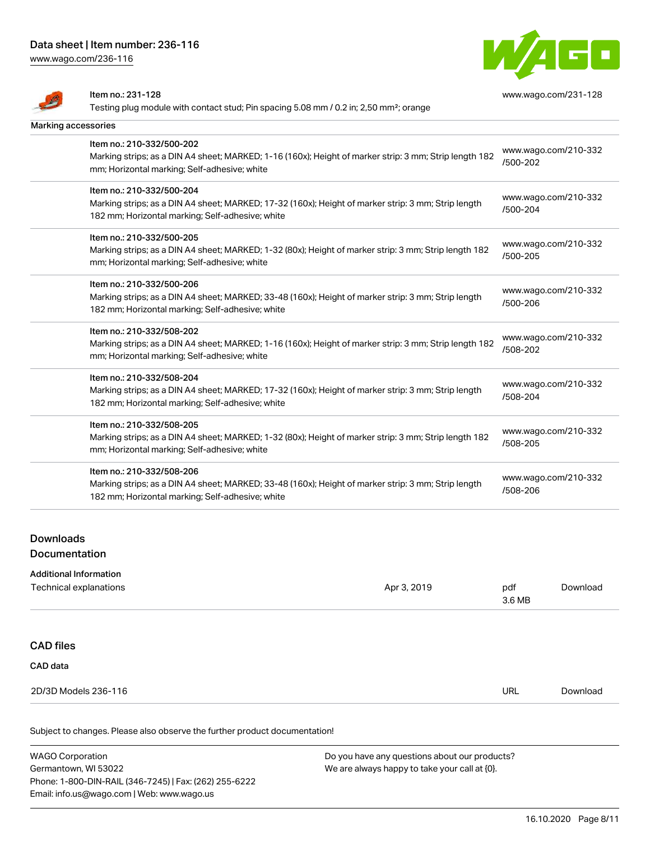Item no.: 231-128

[www.wago.com/236-116](http://www.wago.com/236-116)

 $\overline{\mathbf{A}}$ 



[www.wago.com/231-128](http://www.wago.com/231-128)

| المستعدد                          | Testing plug module with contact stud; Pin spacing 5.08 mm / 0.2 in; 2,50 mm <sup>2</sup> ; orange     |             |                                  |                      |
|-----------------------------------|--------------------------------------------------------------------------------------------------------|-------------|----------------------------------|----------------------|
| Marking accessories               |                                                                                                        |             |                                  |                      |
|                                   | Item no.: 210-332/500-202                                                                              |             |                                  |                      |
|                                   | Marking strips; as a DIN A4 sheet; MARKED; 1-16 (160x); Height of marker strip: 3 mm; Strip length 182 |             | /500-202                         | www.wago.com/210-332 |
|                                   | mm; Horizontal marking; Self-adhesive; white                                                           |             |                                  |                      |
|                                   | Item no.: 210-332/500-204                                                                              |             |                                  |                      |
|                                   | Marking strips; as a DIN A4 sheet; MARKED; 17-32 (160x); Height of marker strip: 3 mm; Strip length    |             | /500-204                         | www.wago.com/210-332 |
|                                   | 182 mm; Horizontal marking; Self-adhesive; white                                                       |             |                                  |                      |
|                                   | Item no.: 210-332/500-205                                                                              |             |                                  |                      |
|                                   | Marking strips; as a DIN A4 sheet; MARKED; 1-32 (80x); Height of marker strip: 3 mm; Strip length 182  |             | www.wago.com/210-332<br>/500-205 |                      |
|                                   | mm; Horizontal marking; Self-adhesive; white                                                           |             |                                  |                      |
|                                   | Item no.: 210-332/500-206                                                                              |             |                                  |                      |
|                                   | Marking strips; as a DIN A4 sheet; MARKED; 33-48 (160x); Height of marker strip: 3 mm; Strip length    |             | www.wago.com/210-332<br>/500-206 |                      |
|                                   | 182 mm; Horizontal marking; Self-adhesive; white                                                       |             |                                  |                      |
|                                   | Item no.: 210-332/508-202                                                                              |             |                                  |                      |
|                                   | Marking strips; as a DIN A4 sheet; MARKED; 1-16 (160x); Height of marker strip: 3 mm; Strip length 182 |             | www.wago.com/210-332<br>/508-202 |                      |
|                                   | mm; Horizontal marking; Self-adhesive; white                                                           |             |                                  |                      |
|                                   | Item no.: 210-332/508-204                                                                              |             |                                  |                      |
|                                   | Marking strips; as a DIN A4 sheet; MARKED; 17-32 (160x); Height of marker strip: 3 mm; Strip length    |             | www.wago.com/210-332<br>/508-204 |                      |
|                                   | 182 mm; Horizontal marking; Self-adhesive; white                                                       |             |                                  |                      |
|                                   | Item no.: 210-332/508-205                                                                              |             |                                  |                      |
|                                   | Marking strips; as a DIN A4 sheet; MARKED; 1-32 (80x); Height of marker strip: 3 mm; Strip length 182  |             | www.wago.com/210-332<br>/508-205 |                      |
|                                   | mm; Horizontal marking; Self-adhesive; white                                                           |             |                                  |                      |
|                                   | Item no.: 210-332/508-206                                                                              |             |                                  |                      |
|                                   | Marking strips; as a DIN A4 sheet; MARKED; 33-48 (160x); Height of marker strip: 3 mm; Strip length    |             | /508-206                         | www.wago.com/210-332 |
|                                   | 182 mm; Horizontal marking; Self-adhesive; white                                                       |             |                                  |                      |
|                                   |                                                                                                        |             |                                  |                      |
| <b>Downloads</b><br>Documentation |                                                                                                        |             |                                  |                      |
|                                   |                                                                                                        |             |                                  |                      |
|                                   | Additional Information<br>Technical explanations                                                       | Apr 3, 2019 | pdf                              | Download             |
|                                   |                                                                                                        |             | 3.6 MB                           |                      |
|                                   |                                                                                                        |             |                                  |                      |
| <b>CAD</b> files                  |                                                                                                        |             |                                  |                      |
| CAD data                          |                                                                                                        |             |                                  |                      |
|                                   |                                                                                                        |             |                                  |                      |
|                                   | 2D/3D Models 236-116                                                                                   |             | <b>URL</b>                       | Download             |

Subject to changes. Please also observe the further product documentation!

WAGO Corporation Germantown, WI 53022 Phone: 1-800-DIN-RAIL (346-7245) | Fax: (262) 255-6222 Email: info.us@wago.com | Web: www.wago.us Do you have any questions about our products? We are always happy to take your call at {0}.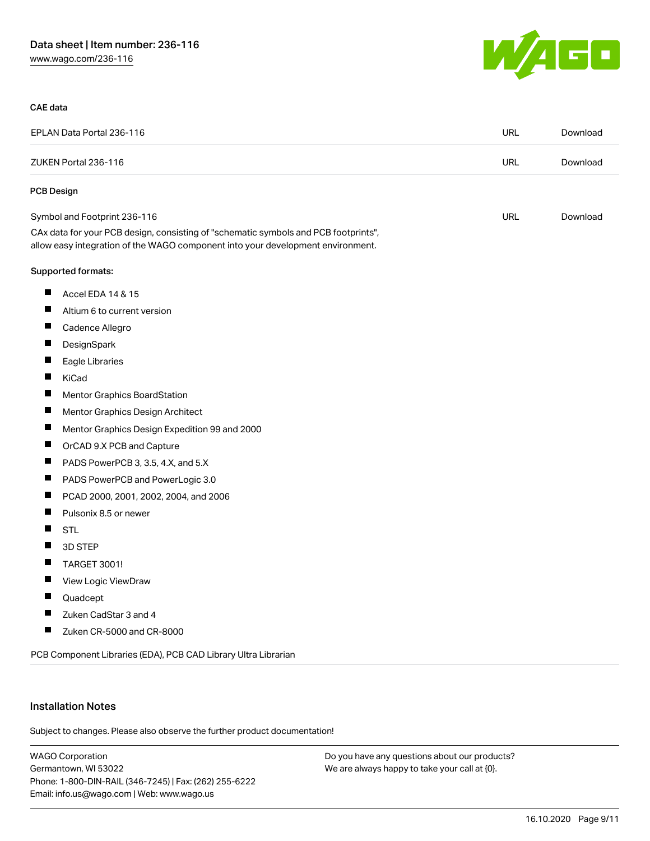

#### CAE data

| EPLAN Data Portal 236-116 |                                                                                                                                                                        | <b>URL</b> | Download |
|---------------------------|------------------------------------------------------------------------------------------------------------------------------------------------------------------------|------------|----------|
|                           | ZUKEN Portal 236-116                                                                                                                                                   | <b>URL</b> | Download |
| PCB Design                |                                                                                                                                                                        |            |          |
|                           | Symbol and Footprint 236-116                                                                                                                                           | <b>URL</b> | Download |
|                           | CAx data for your PCB design, consisting of "schematic symbols and PCB footprints",<br>allow easy integration of the WAGO component into your development environment. |            |          |
|                           | Supported formats:                                                                                                                                                     |            |          |
| ш                         | Accel EDA 14 & 15                                                                                                                                                      |            |          |
|                           | Altium 6 to current version                                                                                                                                            |            |          |
| ш                         | Cadence Allegro                                                                                                                                                        |            |          |
| ш                         | DesignSpark                                                                                                                                                            |            |          |
|                           | Eagle Libraries                                                                                                                                                        |            |          |
| ш                         | KiCad                                                                                                                                                                  |            |          |
| ш                         | Mentor Graphics BoardStation                                                                                                                                           |            |          |
| $\blacksquare$            | Mentor Graphics Design Architect                                                                                                                                       |            |          |
| Ш                         | Mentor Graphics Design Expedition 99 and 2000                                                                                                                          |            |          |
| Ш                         | OrCAD 9.X PCB and Capture                                                                                                                                              |            |          |
| Ш                         | PADS PowerPCB 3, 3.5, 4.X, and 5.X                                                                                                                                     |            |          |
| ш                         | PADS PowerPCB and PowerLogic 3.0                                                                                                                                       |            |          |
| ш                         | PCAD 2000, 2001, 2002, 2004, and 2006                                                                                                                                  |            |          |
| ш                         | Pulsonix 8.5 or newer                                                                                                                                                  |            |          |
| Ш                         | <b>STL</b>                                                                                                                                                             |            |          |
| Ш                         | 3D STEP                                                                                                                                                                |            |          |
| Ш                         | <b>TARGET 3001!</b>                                                                                                                                                    |            |          |
| Ш                         | View Logic ViewDraw                                                                                                                                                    |            |          |
| ш                         | Quadcept                                                                                                                                                               |            |          |
| Ш                         | Zuken CadStar 3 and 4                                                                                                                                                  |            |          |
| ш                         | Zuken CR-5000 and CR-8000                                                                                                                                              |            |          |
|                           | PCB Component Libraries (EDA), PCB CAD Library Ultra Librarian                                                                                                         |            |          |

#### Installation Notes

Subject to changes. Please also observe the further product documentation!

WAGO Corporation Germantown, WI 53022 Phone: 1-800-DIN-RAIL (346-7245) | Fax: (262) 255-6222 Email: info.us@wago.com | Web: www.wago.us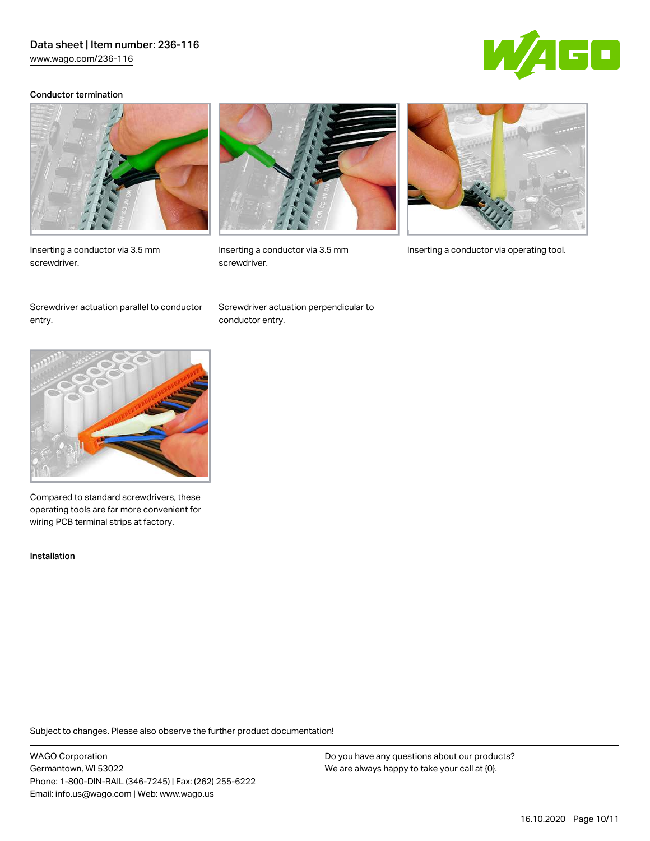[www.wago.com/236-116](http://www.wago.com/236-116)



#### Conductor termination



Inserting a conductor via 3.5 mm screwdriver.



screwdriver.



Inserting a conductor via 3.5 mm Inserting a conductor via operating tool.

Screwdriver actuation parallel to conductor entry.

Screwdriver actuation perpendicular to conductor entry.



Compared to standard screwdrivers, these operating tools are far more convenient for wiring PCB terminal strips at factory.

Installation

Subject to changes. Please also observe the further product documentation!

WAGO Corporation Germantown, WI 53022 Phone: 1-800-DIN-RAIL (346-7245) | Fax: (262) 255-6222 Email: info.us@wago.com | Web: www.wago.us